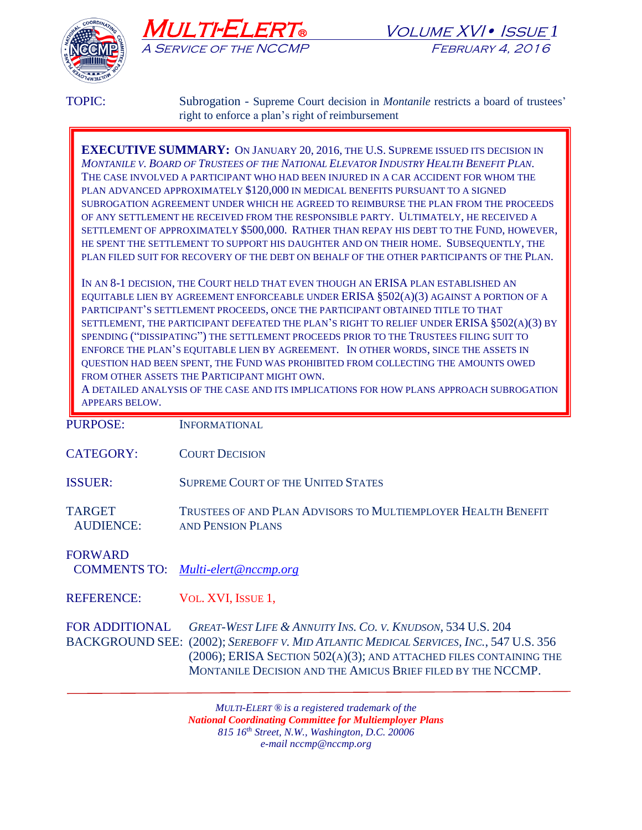





TOPIC: Subrogation - Supreme Court decision in *Montanile* restricts a board of trustees' right to enforce a plan's right of reimbursement

**EXECUTIVE SUMMARY:** ON JANUARY 20, 2016, THE U.S. SUPREME ISSUED ITS DECISION IN *MONTANILE V. BOARD OF TRUSTEES OF THE NATIONAL ELEVATOR INDUSTRY HEALTH BENEFIT PLAN*. THE CASE INVOLVED A PARTICIPANT WHO HAD BEEN INJURED IN A CAR ACCIDENT FOR WHOM THE PLAN ADVANCED APPROXIMATELY \$120,000 IN MEDICAL BENEFITS PURSUANT TO A SIGNED SUBROGATION AGREEMENT UNDER WHICH HE AGREED TO REIMBURSE THE PLAN FROM THE PROCEEDS OF ANY SETTLEMENT HE RECEIVED FROM THE RESPONSIBLE PARTY. ULTIMATELY, HE RECEIVED A SETTLEMENT OF APPROXIMATELY \$500,000. RATHER THAN REPAY HIS DEBT TO THE FUND, HOWEVER, HE SPENT THE SETTLEMENT TO SUPPORT HIS DAUGHTER AND ON THEIR HOME. SUBSEQUENTLY, THE PLAN FILED SUIT FOR RECOVERY OF THE DEBT ON BEHALF OF THE OTHER PARTICIPANTS OF THE PLAN.

IN AN 8-1 DECISION, THE COURT HELD THAT EVEN THOUGH AN ERISA PLAN ESTABLISHED AN EQUITABLE LIEN BY AGREEMENT ENFORCEABLE UNDER ERISA §502(A)(3) AGAINST A PORTION OF A PARTICIPANT'S SETTLEMENT PROCEEDS, ONCE THE PARTICIPANT OBTAINED TITLE TO THAT SETTLEMENT, THE PARTICIPANT DEFEATED THE PLAN'S RIGHT TO RELIEF UNDER ERISA §502(A)(3) BY SPENDING ("DISSIPATING") THE SETTLEMENT PROCEEDS PRIOR TO THE TRUSTEES FILING SUIT TO ENFORCE THE PLAN'S EQUITABLE LIEN BY AGREEMENT. IN OTHER WORDS, SINCE THE ASSETS IN QUESTION HAD BEEN SPENT, THE FUND WAS PROHIBITED FROM COLLECTING THE AMOUNTS OWED FROM OTHER ASSETS THE PARTICIPANT MIGHT OWN.

A DETAILED ANALYSIS OF THE CASE AND ITS IMPLICATIONS FOR HOW PLANS APPROACH SUBROGATION APPEARS BELOW.

PURPOSE: INFORMATIONAL

CATEGORY: COURT DECISION

ISSUER: SUPREME COURT OF THE UNITED STATES

TARGET TRUSTEES OF AND PLAN ADVISORS TO MULTIEMPLOYER HEALTH BENEFIT AUDIENCE: AND PENSION PLANS

FORWARD

COMMENTS TO: *[Multi-elert@nccmp.org](mailto:Multi-elert@nccmp.org)*

REFERENCE: VOL. XVI, ISSUE 1,

FOR ADDITIONAL *GREAT-WEST LIFE & ANNUITY INS. CO. V. KNUDSON*, 534 U.S. 204 BACKGROUND SEE: (2002); *SEREBOFF V. MID ATLANTIC MEDICAL SERVICES, INC.*, 547 U.S. 356 (2006); ERISA SECTION 502(A)(3); AND ATTACHED FILES CONTAINING THE MONTANILE DECISION AND THE AMICUS BRIEF FILED BY THE NCCMP.

> *MULTI-ELERT ® is a registered trademark of the National Coordinating Committee for Multiemployer Plans 815 16th Street, N.W., Washington, D.C. 20006 e-mail nccmp@nccmp.org*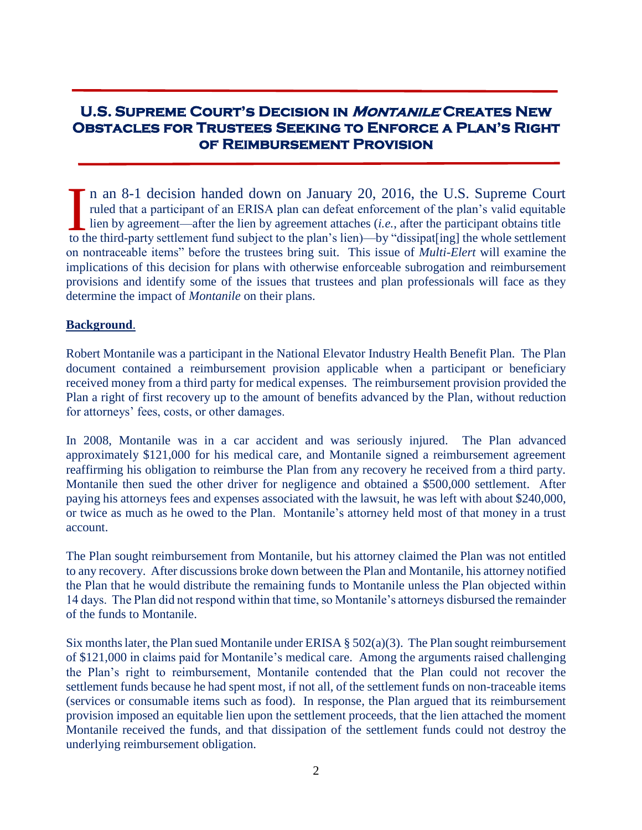# **U.S. Supreme Court's Decision in Montanile Creates New Obstacles for Trustees Seeking to Enforce a Plan's Right of Reimbursement Provision**

n an 8-1 decision handed down on January 20, 2016, the U.S. Supreme Court ruled that a participant of an ERISA plan can defeat enforcement of the plan's valid equitable lien by agreement—after the lien by agreement attaches  $(i.e.,$  after the participant obtains title In an 8-1 decision handed down on January 20, 2016, the U.S. Supreme Court ruled that a participant of an ERISA plan can defeat enforcement of the plan's valid equitable lien by agreement—after the lien by agreement attac on nontraceable items" before the trustees bring suit. This issue of *Multi-Elert* will examine the implications of this decision for plans with otherwise enforceable subrogation and reimbursement provisions and identify some of the issues that trustees and plan professionals will face as they determine the impact of *Montanile* on their plans.

### **Background**.

Robert Montanile was a participant in the National Elevator Industry Health Benefit Plan. The Plan document contained a reimbursement provision applicable when a participant or beneficiary received money from a third party for medical expenses. The reimbursement provision provided the Plan a right of first recovery up to the amount of benefits advanced by the Plan, without reduction for attorneys' fees, costs, or other damages.

In 2008, Montanile was in a car accident and was seriously injured. The Plan advanced approximately \$121,000 for his medical care, and Montanile signed a reimbursement agreement reaffirming his obligation to reimburse the Plan from any recovery he received from a third party. Montanile then sued the other driver for negligence and obtained a \$500,000 settlement. After paying his attorneys fees and expenses associated with the lawsuit, he was left with about \$240,000, or twice as much as he owed to the Plan. Montanile's attorney held most of that money in a trust account.

The Plan sought reimbursement from Montanile, but his attorney claimed the Plan was not entitled to any recovery. After discussions broke down between the Plan and Montanile, his attorney notified the Plan that he would distribute the remaining funds to Montanile unless the Plan objected within 14 days. The Plan did not respond within that time, so Montanile's attorneys disbursed the remainder of the funds to Montanile.

Six months later, the Plan sued Montanile under ERISA  $\S 502(a)(3)$ . The Plan sought reimbursement of \$121,000 in claims paid for Montanile's medical care. Among the arguments raised challenging the Plan's right to reimbursement, Montanile contended that the Plan could not recover the settlement funds because he had spent most, if not all, of the settlement funds on non-traceable items (services or consumable items such as food). In response, the Plan argued that its reimbursement provision imposed an equitable lien upon the settlement proceeds, that the lien attached the moment Montanile received the funds, and that dissipation of the settlement funds could not destroy the underlying reimbursement obligation.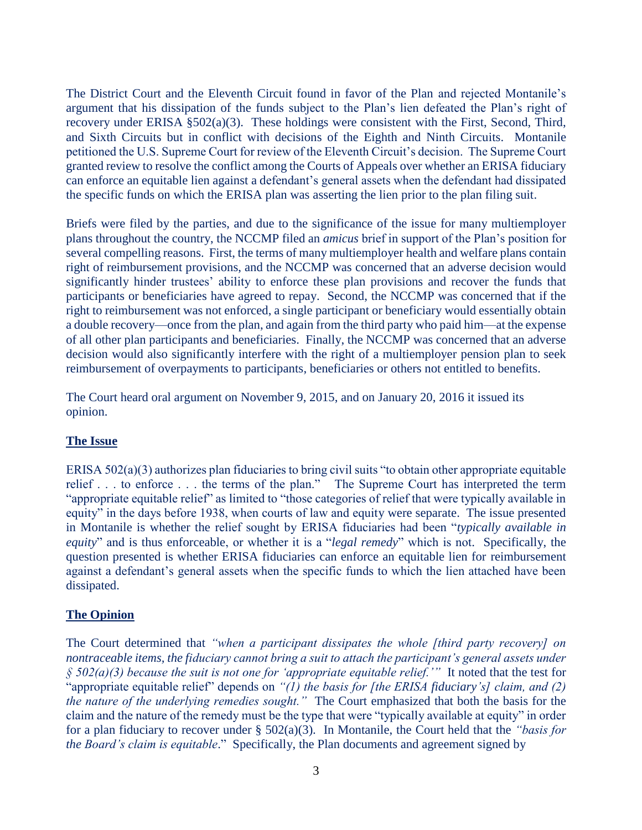The District Court and the Eleventh Circuit found in favor of the Plan and rejected Montanile's argument that his dissipation of the funds subject to the Plan's lien defeated the Plan's right of recovery under ERISA §502(a)(3). These holdings were consistent with the First, Second, Third, and Sixth Circuits but in conflict with decisions of the Eighth and Ninth Circuits. Montanile petitioned the U.S. Supreme Court for review of the Eleventh Circuit's decision. The Supreme Court granted review to resolve the conflict among the Courts of Appeals over whether an ERISA fiduciary can enforce an equitable lien against a defendant's general assets when the defendant had dissipated the specific funds on which the ERISA plan was asserting the lien prior to the plan filing suit.

Briefs were filed by the parties, and due to the significance of the issue for many multiemployer plans throughout the country, the NCCMP filed an *amicus* brief in support of the Plan's position for several compelling reasons. First, the terms of many multiemployer health and welfare plans contain right of reimbursement provisions, and the NCCMP was concerned that an adverse decision would significantly hinder trustees' ability to enforce these plan provisions and recover the funds that participants or beneficiaries have agreed to repay. Second, the NCCMP was concerned that if the right to reimbursement was not enforced, a single participant or beneficiary would essentially obtain a double recovery—once from the plan, and again from the third party who paid him—at the expense of all other plan participants and beneficiaries. Finally, the NCCMP was concerned that an adverse decision would also significantly interfere with the right of a multiemployer pension plan to seek reimbursement of overpayments to participants, beneficiaries or others not entitled to benefits.

The Court heard oral argument on November 9, 2015, and on January 20, 2016 it issued its opinion.

### **The Issue**

ERISA 502(a)(3) authorizes plan fiduciaries to bring civil suits "to obtain other appropriate equitable relief . . . to enforce . . . the terms of the plan." The Supreme Court has interpreted the term "appropriate equitable relief" as limited to "those categories of relief that were typically available in equity" in the days before 1938, when courts of law and equity were separate. The issue presented in Montanile is whether the relief sought by ERISA fiduciaries had been "*typically available in equity*" and is thus enforceable, or whether it is a "*legal remedy*" which is not. Specifically, the question presented is whether ERISA fiduciaries can enforce an equitable lien for reimbursement against a defendant's general assets when the specific funds to which the lien attached have been dissipated.

## **The Opinion**

The Court determined that *"when a participant dissipates the whole [third party recovery] on nontraceable items, the fiduciary cannot bring a suit to attach the participant's general assets under*   $\hat{\beta}$  502(a)(3) because the suit is not one for 'appropriate equitable relief.'" It noted that the test for "appropriate equitable relief" depends on *"(1) the basis for [the ERISA fiduciary's] claim, and (2) the nature of the underlying remedies sought."* The Court emphasized that both the basis for the claim and the nature of the remedy must be the type that were "typically available at equity" in order for a plan fiduciary to recover under § 502(a)(3). In Montanile, the Court held that the *"basis for the Board's claim is equitable*." Specifically, the Plan documents and agreement signed by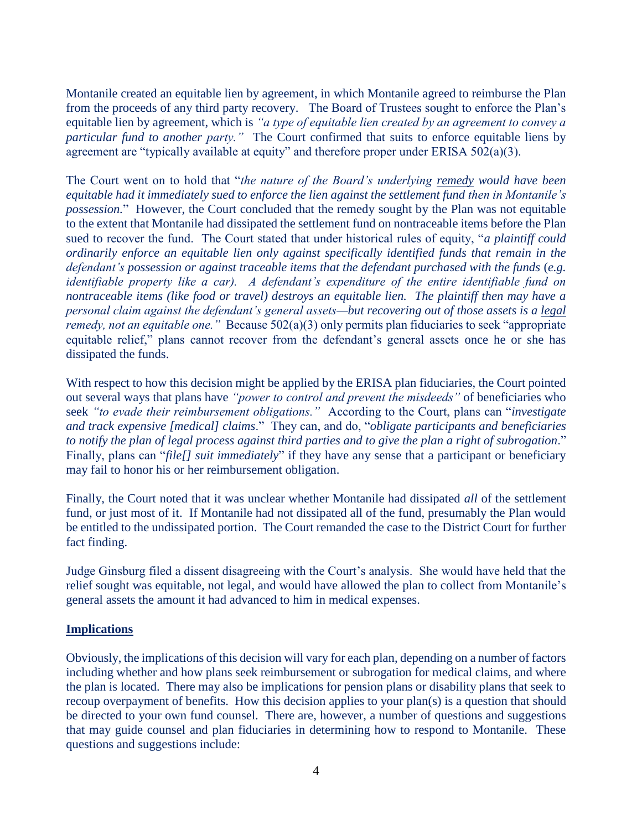Montanile created an equitable lien by agreement, in which Montanile agreed to reimburse the Plan from the proceeds of any third party recovery. The Board of Trustees sought to enforce the Plan's equitable lien by agreement, which is *"a type of equitable lien created by an agreement to convey a particular fund to another party."* The Court confirmed that suits to enforce equitable liens by agreement are "typically available at equity" and therefore proper under ERISA 502(a)(3).

The Court went on to hold that "*the nature of the Board's underlying remedy would have been equitable had it immediately sued to enforce the lien against the settlement fund then in Montanile's possession.*" However, the Court concluded that the remedy sought by the Plan was not equitable to the extent that Montanile had dissipated the settlement fund on nontraceable items before the Plan sued to recover the fund. The Court stated that under historical rules of equity, "*a plaintiff could ordinarily enforce an equitable lien only against specifically identified funds that remain in the defendant's possession or against traceable items that the defendant purchased with the funds* (*e.g. identifiable property like a car). A defendant's expenditure of the entire identifiable fund on nontraceable items (like food or travel) destroys an equitable lien. The plaintiff then may have a personal claim against the defendant's general assets—but recovering out of those assets is a legal remedy, not an equitable one.*" Because 502(a)(3) only permits plan fiduciaries to seek "appropriate" equitable relief," plans cannot recover from the defendant's general assets once he or she has dissipated the funds.

With respect to how this decision might be applied by the ERISA plan fiduciaries, the Court pointed out several ways that plans have *"power to control and prevent the misdeeds"* of beneficiaries who seek *"to evade their reimbursement obligations."* According to the Court, plans can "*investigate and track expensive [medical] claims*." They can, and do, "*obligate participants and beneficiaries to notify the plan of legal process against third parties and to give the plan a right of subrogation*." Finally, plans can "*file*[] suit immediately" if they have any sense that a participant or beneficiary may fail to honor his or her reimbursement obligation.

Finally, the Court noted that it was unclear whether Montanile had dissipated *all* of the settlement fund, or just most of it. If Montanile had not dissipated all of the fund, presumably the Plan would be entitled to the undissipated portion. The Court remanded the case to the District Court for further fact finding.

Judge Ginsburg filed a dissent disagreeing with the Court's analysis. She would have held that the relief sought was equitable, not legal, and would have allowed the plan to collect from Montanile's general assets the amount it had advanced to him in medical expenses.

### **Implications**

Obviously, the implications of this decision will vary for each plan, depending on a number of factors including whether and how plans seek reimbursement or subrogation for medical claims, and where the plan is located. There may also be implications for pension plans or disability plans that seek to recoup overpayment of benefits. How this decision applies to your plan(s) is a question that should be directed to your own fund counsel. There are, however, a number of questions and suggestions that may guide counsel and plan fiduciaries in determining how to respond to Montanile. These questions and suggestions include: